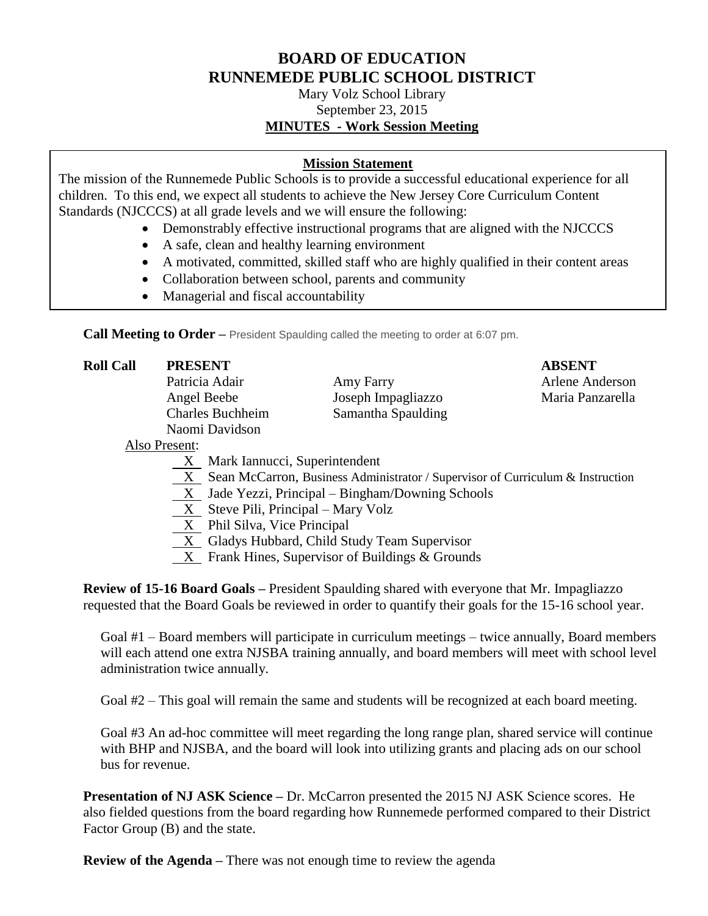## **BOARD OF EDUCATION RUNNEMEDE PUBLIC SCHOOL DISTRICT**

Mary Volz School Library September 23, 2015 **MINUTES - Work Session Meeting**

## **Mission Statement**

The mission of the Runnemede Public Schools is to provide a successful educational experience for all children. To this end, we expect all students to achieve the New Jersey Core Curriculum Content Standards (NJCCCS) at all grade levels and we will ensure the following:

- Demonstrably effective instructional programs that are aligned with the NJCCCS
- A safe, clean and healthy learning environment
- A motivated, committed, skilled staff who are highly qualified in their content areas
- Collaboration between school, parents and community
- Managerial and fiscal accountability

**Call Meeting to Order –** President Spaulding called the meeting to order at 6:07 pm.

| <b>Roll Call</b> | <b>PRESENT</b>          |                    | <b>ABSENT</b>    |
|------------------|-------------------------|--------------------|------------------|
|                  | Patricia Adair          | Amy Farry          | Arlene Anderson  |
|                  | Angel Beebe             | Joseph Impagliazzo | Maria Panzarella |
|                  | <b>Charles Buchheim</b> | Samantha Spaulding |                  |
|                  | Naomi Davidson          |                    |                  |
|                  | Also Present:           |                    |                  |

## Also Present:

- X Mark Iannucci, Superintendent
- X Sean McCarron, Business Administrator / Supervisor of Curriculum & Instruction
- $\underline{X}$  Jade Yezzi, Principal Bingham/Downing Schools
- X Steve Pili, Principal Mary Volz
- X Phil Silva, Vice Principal
- X Gladys Hubbard, Child Study Team Supervisor
- X Frank Hines, Supervisor of Buildings & Grounds

**Review of 15-16 Board Goals –** President Spaulding shared with everyone that Mr. Impagliazzo requested that the Board Goals be reviewed in order to quantify their goals for the 15-16 school year.

Goal #1 – Board members will participate in curriculum meetings – twice annually, Board members will each attend one extra NJSBA training annually, and board members will meet with school level administration twice annually.

Goal #2 – This goal will remain the same and students will be recognized at each board meeting.

Goal #3 An ad-hoc committee will meet regarding the long range plan, shared service will continue with BHP and NJSBA, and the board will look into utilizing grants and placing ads on our school bus for revenue.

**Presentation of NJ ASK Science –** Dr. McCarron presented the 2015 NJ ASK Science scores. He also fielded questions from the board regarding how Runnemede performed compared to their District Factor Group (B) and the state.

**Review of the Agenda –** There was not enough time to review the agenda